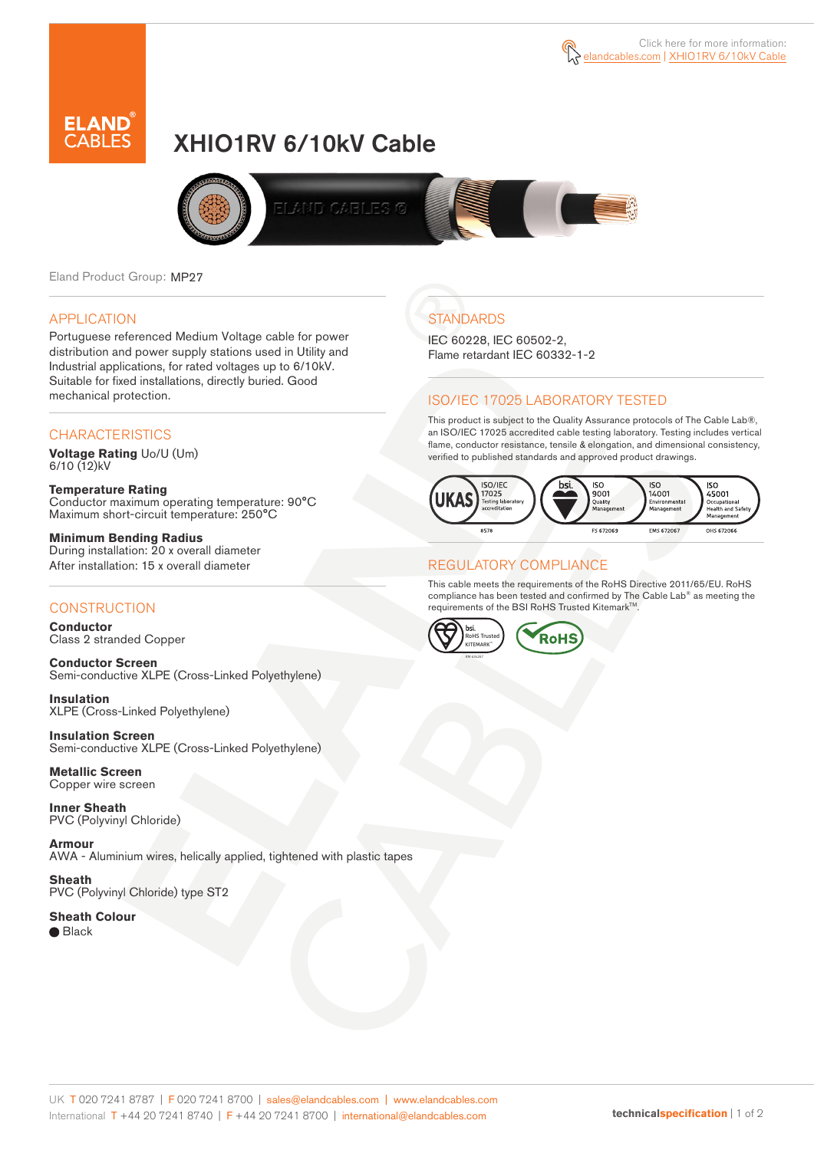

# XHIO1RV 6/10kV Cable



Eland Product Group: MP27

#### APPLICATION

Portuguese referenced Medium Voltage cable for power distribution and power supply stations used in Utility and Industrial applications, for rated voltages up to 6/10kV. Suitable for fixed installations, directly buried. Good mechanical protection.

## **CHARACTERISTICS**

**Voltage Rating** Uo/U (Um)  $6/10(12)$ kV

**Temperature Rating** Conductor maximum operating temperature: 90°C Maximum short-circuit temperature: 250°C

**Minimum Bending Radius** During installation: 20 x overall diameter After installation: 15 x overall diameter

#### **CONSTRUCTION**

**Conductor**  Class 2 stranded Copper

**Conductor Screen** Semi-conductive XLPE (Cross-Linked Polyethylene)

**Insulation** XLPE (Cross-Linked Polyethylene)

**Insulation Screen** Semi-conductive XLPE (Cross-Linked Polyethylene)

**Metallic Screen**  Copper wire screen

**Inner Sheath** PVC (Polyvinyl Chloride)

**Armour** AWA - Aluminium wires, helically applied, tightened with plastic tapes

**Sheath** PVC (Polyvinyl Chloride) type ST2

**Sheath Colour**  ● Black

**STANDARDS** 

IEC 60228, IEC 60502-2, Flame retardant IEC 60332-1-2

## ISO/IEC 17025 LABORATORY TESTED

This product is subject to the Quality Assurance protocols of The Cable Lab®, an ISO/IEC 17025 accredited cable testing laboratory. Testing includes vertical flame, conductor resistance, tensile & elongation, and dimensional consistency, verified to published standards and approved product drawings.



### REGULATORY COMPLIANCE

This cable meets the requirements of the RoHS Directive 2011/65/EU. RoHS compliance has been tested and confirmed by The Cable Lab® as meeting the requirements of the BSI RoHS Trusted KitemarkTM.